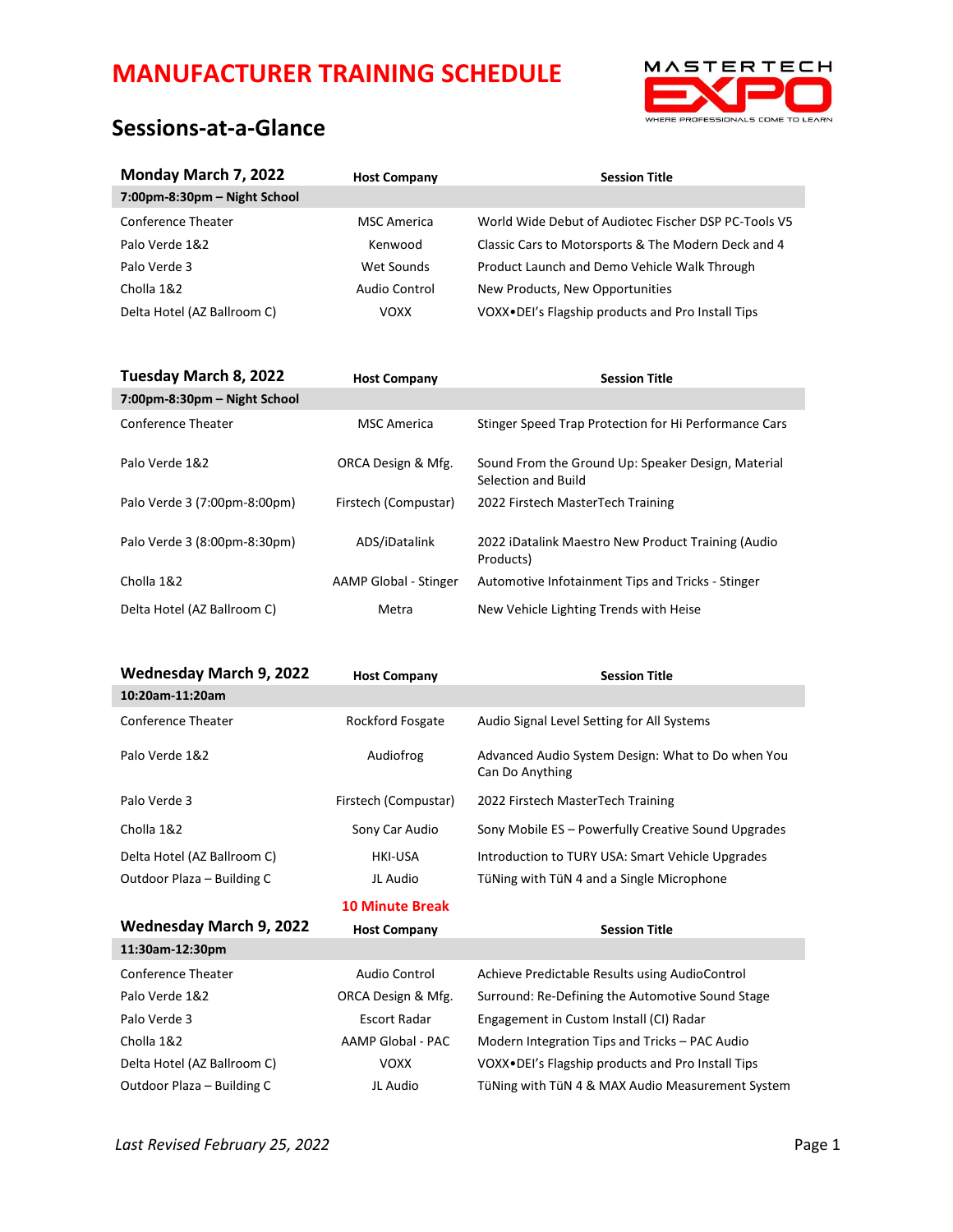

# **Sessions-at-a-Glance**

| Monday March 7, 2022         | <b>Host Company</b> | <b>Session Title</b>                                                      |
|------------------------------|---------------------|---------------------------------------------------------------------------|
| 7:00pm-8:30pm – Night School |                     |                                                                           |
| Conference Theater           | <b>MSC America</b>  | World Wide Debut of Audiotec Fischer DSP PC-Tools V5                      |
| Palo Verde 1&2               | Kenwood             | Classic Cars to Motorsports & The Modern Deck and 4                       |
| Palo Verde 3                 | Wet Sounds          | Product Launch and Demo Vehicle Walk Through                              |
| Cholla 1&2                   | Audio Control       | New Products, New Opportunities                                           |
| Delta Hotel (AZ Ballroom C)  | <b>VOXX</b>         | VOXX.DEI's Flagship products and Pro Install Tips                         |
|                              |                     |                                                                           |
| Tuesday March 8, 2022        | <b>Host Company</b> | <b>Session Title</b>                                                      |
| 7:00pm-8:30pm - Night School |                     |                                                                           |
| Conference Theater           | <b>MSC</b> America  | Stinger Speed Trap Protection for Hi Performance Cars                     |
| Palo Verde 1&2               | ORCA Design & Mfg.  | Sound From the Ground Up: Speaker Design, Material<br>Selection and Build |

| Palo Verde 3 (7:00pm-8:00pm) | Firstech (Compustar)  | 2022 Firstech MasterTech Training                               |
|------------------------------|-----------------------|-----------------------------------------------------------------|
| Palo Verde 3 (8:00pm-8:30pm) | ADS/iDatalink         | 2022 iDatalink Maestro New Product Training (Audio<br>Products) |
| Cholla 1&2                   | AAMP Global - Stinger | Automotive Infotainment Tips and Tricks - Stinger               |
| Delta Hotel (AZ Ballroom C)  | Metra                 | New Vehicle Lighting Trends with Heise                          |

| Wednesday March 9, 2022     | <b>Host Company</b>    | <b>Session Title</b>                                                 |
|-----------------------------|------------------------|----------------------------------------------------------------------|
| 10:20am-11:20am             |                        |                                                                      |
| Conference Theater          | Rockford Fosgate       | Audio Signal Level Setting for All Systems                           |
| Palo Verde 1&2              | Audiofrog              | Advanced Audio System Design: What to Do when You<br>Can Do Anything |
| Palo Verde 3                | Firstech (Compustar)   | 2022 Firstech MasterTech Training                                    |
| Cholla 1&2                  | Sony Car Audio         | Sony Mobile ES - Powerfully Creative Sound Upgrades                  |
| Delta Hotel (AZ Ballroom C) | <b>HKI-USA</b>         | Introduction to TURY USA: Smart Vehicle Upgrades                     |
| Outdoor Plaza - Building C  | JL Audio               | TüNing with TüN 4 and a Single Microphone                            |
|                             | <b>10 Minute Break</b> |                                                                      |
| Wednesday March 9, 2022     | <b>Host Company</b>    | <b>Session Title</b>                                                 |
| 11:30am-12:30pm             |                        |                                                                      |
| <b>Conference Theater</b>   | Audio Control          | Achieve Predictable Results using AudioControl                       |
| Palo Verde 1&2              | ORCA Design & Mfg.     | Surround: Re-Defining the Automotive Sound Stage                     |

| Palo Verde 1&2              | ORCA Design & Mfg. | Surround: Re-Defining the Automotive Sound Stage  |
|-----------------------------|--------------------|---------------------------------------------------|
| Palo Verde 3                | Escort Radar       | Engagement in Custom Install (CI) Radar           |
| Cholla 1&2                  | AAMP Global - PAC  | Modern Integration Tips and Tricks - PAC Audio    |
| Delta Hotel (AZ Ballroom C) | VOXX               | VOXX.DEI's Flagship products and Pro Install Tips |
| Outdoor Plaza - Building C  | JL Audio           | TüNing with TüN 4 & MAX Audio Measurement System  |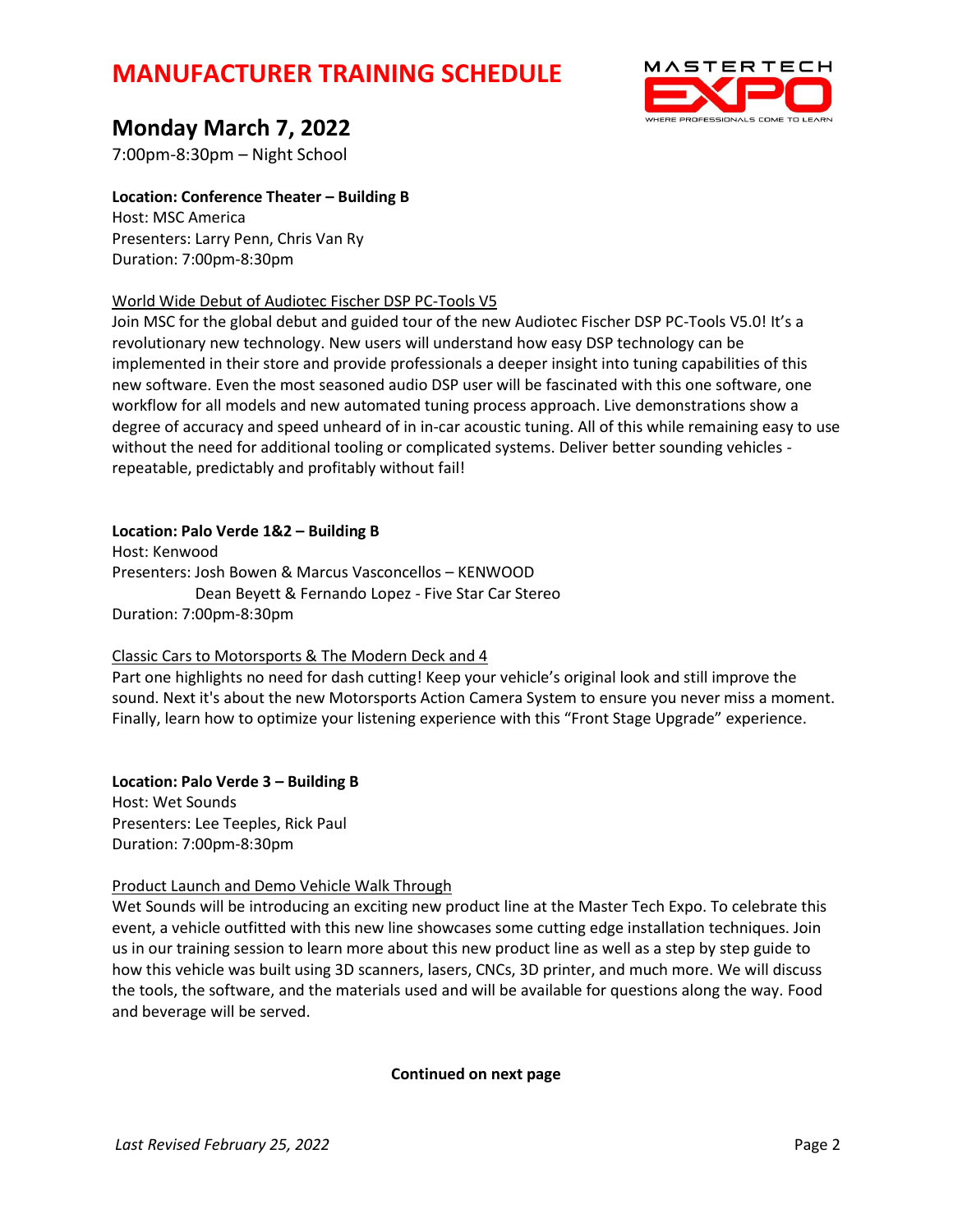

# **Monday March 7, 2022**

7:00pm-8:30pm – Night School

**Location: Conference Theater – Building B** Host: MSC America

Presenters: Larry Penn, Chris Van Ry Duration: 7:00pm-8:30pm

### World Wide Debut of Audiotec Fischer DSP PC-Tools V5

Join MSC for the global debut and guided tour of the new Audiotec Fischer DSP PC-Tools V5.0! It's a revolutionary new technology. New users will understand how easy DSP technology can be implemented in their store and provide professionals a deeper insight into tuning capabilities of this new software. Even the most seasoned audio DSP user will be fascinated with this one software, one workflow for all models and new automated tuning process approach. Live demonstrations show a degree of accuracy and speed unheard of in in-car acoustic tuning. All of this while remaining easy to use without the need for additional tooling or complicated systems. Deliver better sounding vehicles repeatable, predictably and profitably without fail!

### **Location: Palo Verde 1&2 – Building B**

Host: Kenwood Presenters: Josh Bowen & Marcus Vasconcellos – KENWOOD Dean Beyett & Fernando Lopez - Five Star Car Stereo Duration: 7:00pm-8:30pm

### Classic Cars to Motorsports & The Modern Deck and 4

Part one highlights no need for dash cutting! Keep your vehicle's original look and still improve the sound. Next it's about the new Motorsports Action Camera System to ensure you never miss a moment. Finally, learn how to optimize your listening experience with this "Front Stage Upgrade" experience.

**Location: Palo Verde 3 – Building B** Host: Wet Sounds Presenters: Lee Teeples, Rick Paul Duration: 7:00pm-8:30pm

### Product Launch and Demo Vehicle Walk Through

Wet Sounds will be introducing an exciting new product line at the Master Tech Expo. To celebrate this event, a vehicle outfitted with this new line showcases some cutting edge installation techniques. Join us in our training session to learn more about this new product line as well as a step by step guide to how this vehicle was built using 3D scanners, lasers, CNCs, 3D printer, and much more. We will discuss the tools, the software, and the materials used and will be available for questions along the way. Food and beverage will be served.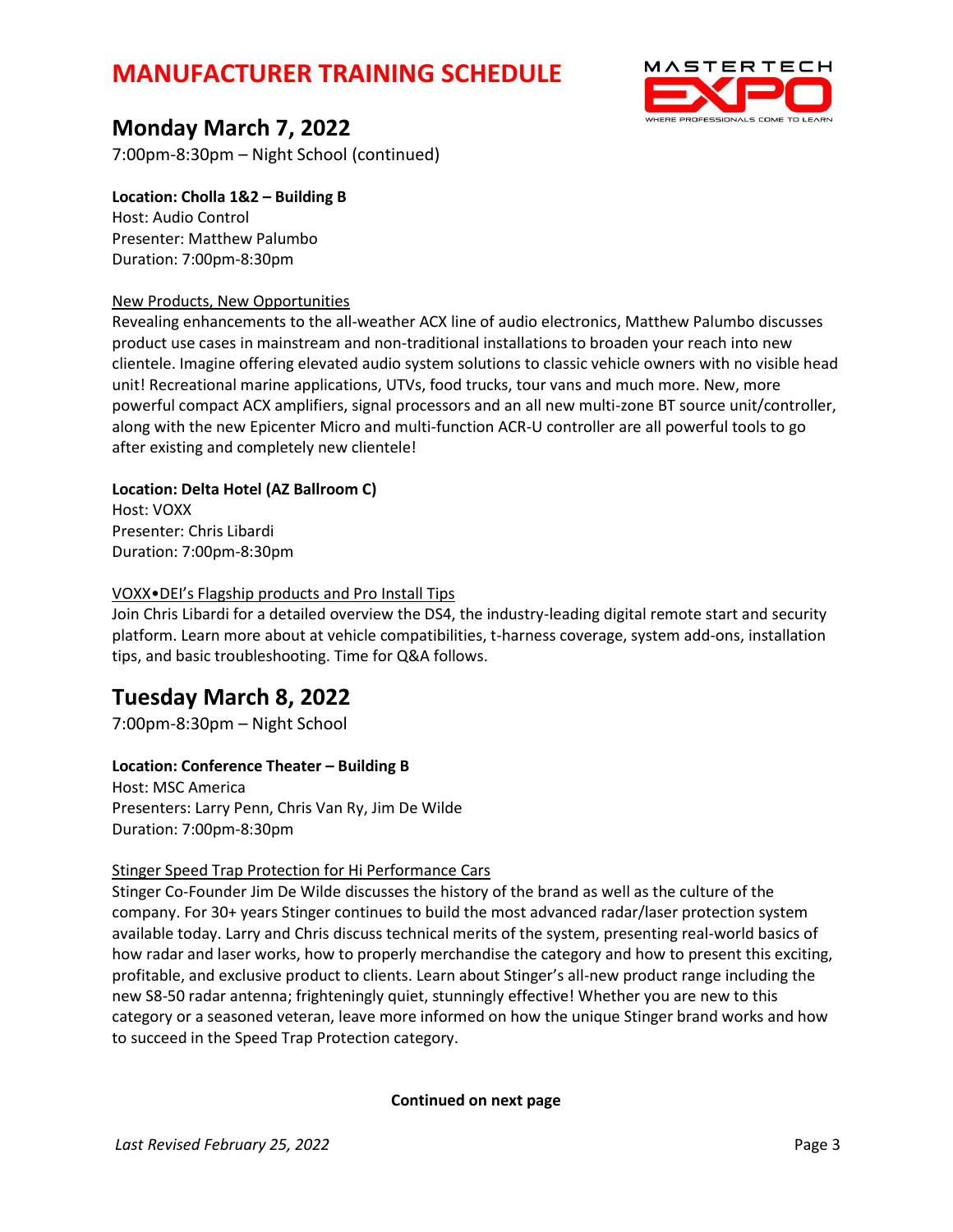

# **Monday March 7, 2022**

7:00pm-8:30pm – Night School (continued)

**Location: Cholla 1&2 – Building B** Host: Audio Control Presenter: Matthew Palumbo Duration: 7:00pm-8:30pm

### New Products, New Opportunities

Revealing enhancements to the all-weather ACX line of audio electronics, Matthew Palumbo discusses product use cases in mainstream and non-traditional installations to broaden your reach into new clientele. Imagine offering elevated audio system solutions to classic vehicle owners with no visible head unit! Recreational marine applications, UTVs, food trucks, tour vans and much more. New, more powerful compact ACX amplifiers, signal processors and an all new multi-zone BT source unit/controller, along with the new Epicenter Micro and multi-function ACR-U controller are all powerful tools to go after existing and completely new clientele!

**Location: Delta Hotel (AZ Ballroom C)** Host: VOXX Presenter: Chris Libardi

Duration: 7:00pm-8:30pm

### VOXX•DEI's Flagship products and Pro Install Tips

Join Chris Libardi for a detailed overview the DS4, the industry-leading digital remote start and security platform. Learn more about at vehicle compatibilities, t-harness coverage, system add-ons, installation tips, and basic troubleshooting. Time for Q&A follows.

# **Tuesday March 8, 2022**

7:00pm-8:30pm – Night School

**Location: Conference Theater – Building B** Host: MSC America Presenters: Larry Penn, Chris Van Ry, Jim De Wilde Duration: 7:00pm-8:30pm

### Stinger Speed Trap Protection for Hi Performance Cars

Stinger Co-Founder Jim De Wilde discusses the history of the brand as well as the culture of the company. For 30+ years Stinger continues to build the most advanced radar/laser protection system available today. Larry and Chris discuss technical merits of the system, presenting real-world basics of how radar and laser works, how to properly merchandise the category and how to present this exciting, profitable, and exclusive product to clients. Learn about Stinger's all-new product range including the new S8-50 radar antenna; frighteningly quiet, stunningly effective! Whether you are new to this category or a seasoned veteran, leave more informed on how the unique Stinger brand works and how to succeed in the Speed Trap Protection category.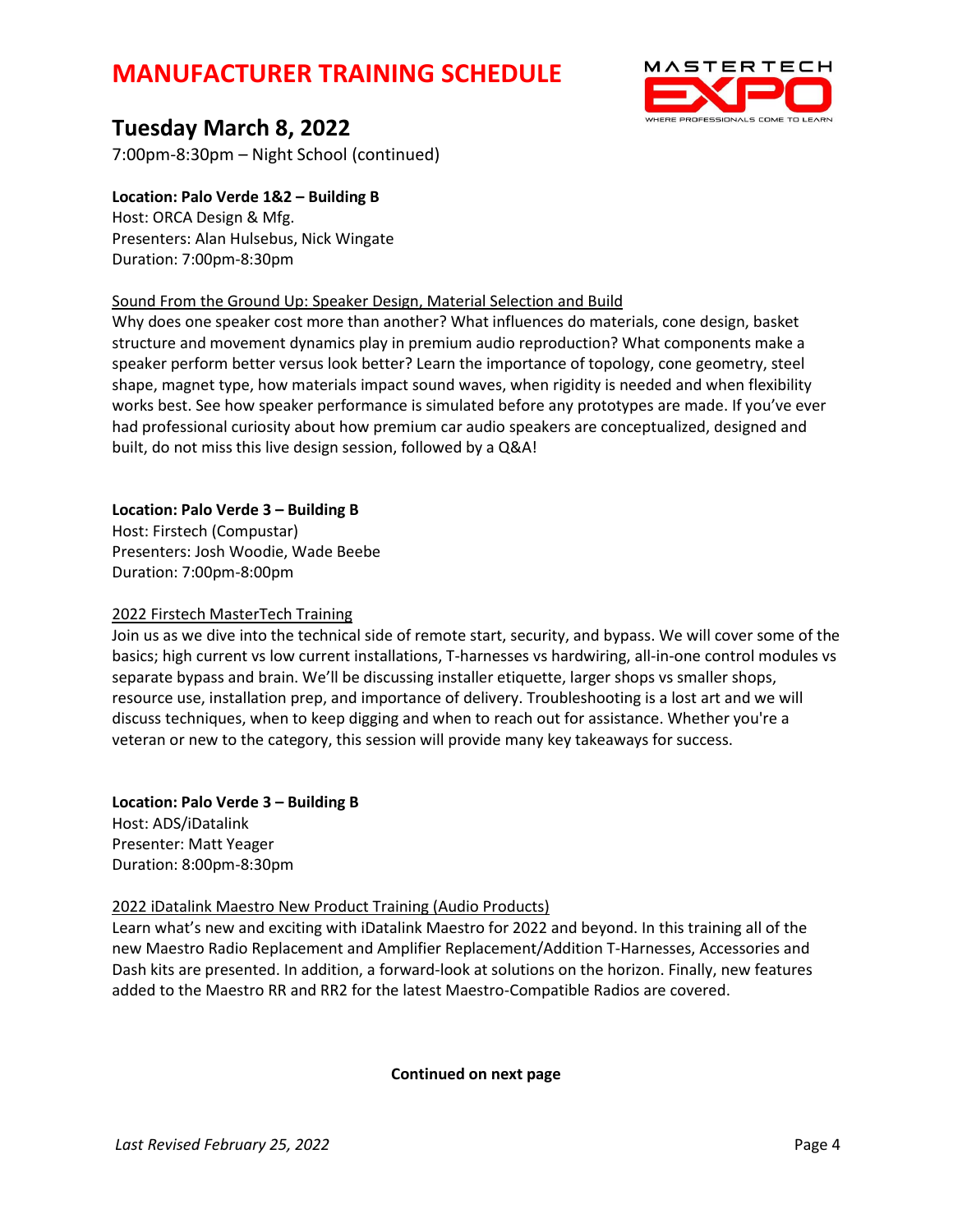

# **Tuesday March 8, 2022**

7:00pm-8:30pm – Night School (continued)

**Location: Palo Verde 1&2 – Building B** Host: ORCA Design & Mfg. Presenters: Alan Hulsebus, Nick Wingate Duration: 7:00pm-8:30pm

### Sound From the Ground Up: Speaker Design, Material Selection and Build

Why does one speaker cost more than another? What influences do materials, cone design, basket structure and movement dynamics play in premium audio reproduction? What components make a speaker perform better versus look better? Learn the importance of topology, cone geometry, steel shape, magnet type, how materials impact sound waves, when rigidity is needed and when flexibility works best. See how speaker performance is simulated before any prototypes are made. If you've ever had professional curiosity about how premium car audio speakers are conceptualized, designed and built, do not miss this live design session, followed by a Q&A!

### **Location: Palo Verde 3 – Building B**

Host: Firstech (Compustar) Presenters: Josh Woodie, Wade Beebe Duration: 7:00pm-8:00pm

#### 2022 Firstech MasterTech Training

Join us as we dive into the technical side of remote start, security, and bypass. We will cover some of the basics; high current vs low current installations, T-harnesses vs hardwiring, all-in-one control modules vs separate bypass and brain. We'll be discussing installer etiquette, larger shops vs smaller shops, resource use, installation prep, and importance of delivery. Troubleshooting is a lost art and we will discuss techniques, when to keep digging and when to reach out for assistance. Whether you're a veteran or new to the category, this session will provide many key takeaways for success.

# **Location: Palo Verde 3 – Building B**

Host: ADS/iDatalink Presenter: Matt Yeager Duration: 8:00pm-8:30pm

### 2022 iDatalink Maestro New Product Training (Audio Products)

Learn what's new and exciting with iDatalink Maestro for 2022 and beyond. In this training all of the new Maestro Radio Replacement and Amplifier Replacement/Addition T-Harnesses, Accessories and Dash kits are presented. In addition, a forward-look at solutions on the horizon. Finally, new features added to the Maestro RR and RR2 for the latest Maestro-Compatible Radios are covered.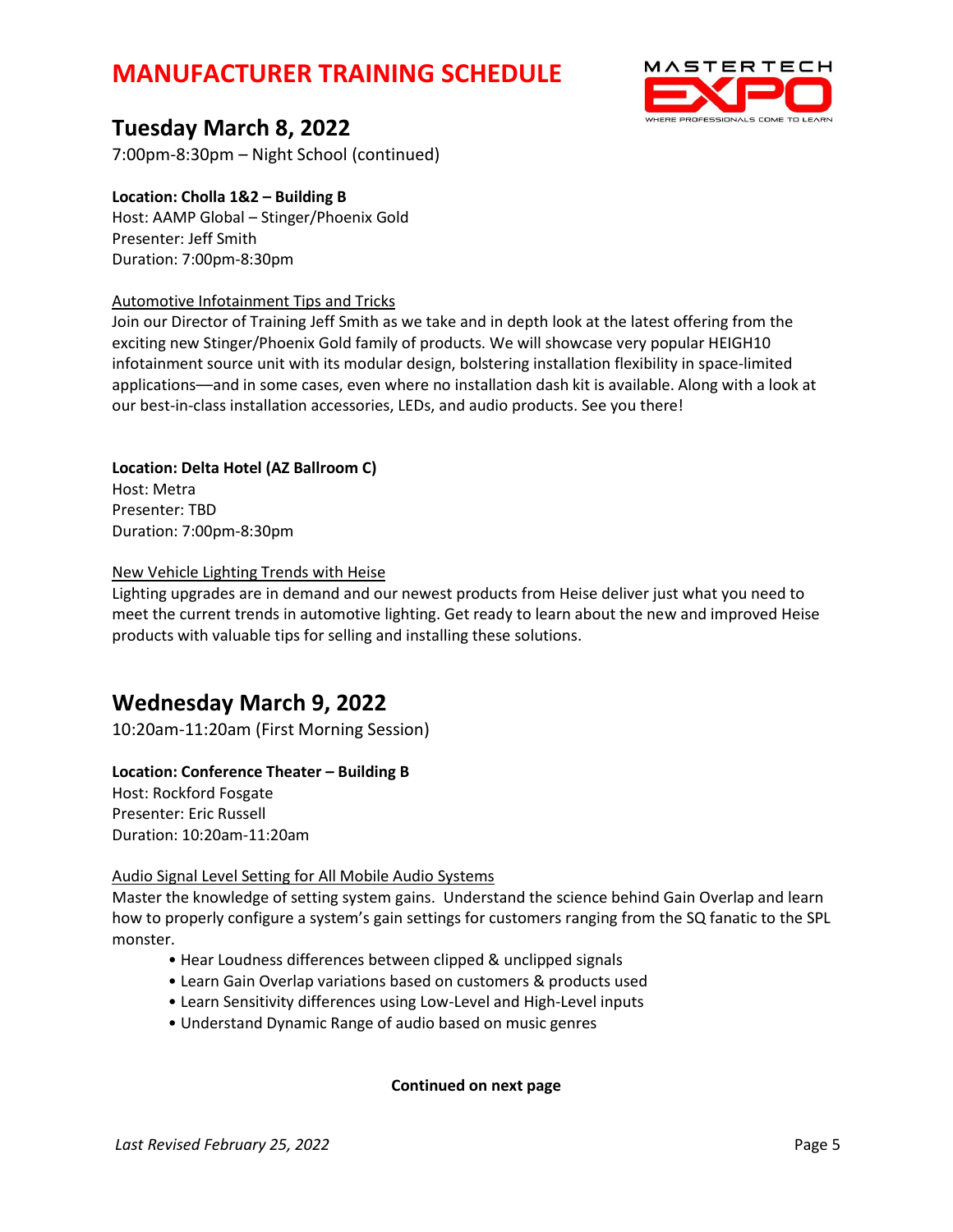

# **Tuesday March 8, 2022**

7:00pm-8:30pm – Night School (continued)

# **Location: Cholla 1&2 – Building B**

Host: AAMP Global – Stinger/Phoenix Gold Presenter: Jeff Smith Duration: 7:00pm-8:30pm

## Automotive Infotainment Tips and Tricks

Join our Director of Training Jeff Smith as we take and in depth look at the latest offering from the exciting new Stinger/Phoenix Gold family of products. We will showcase very popular HEIGH10 infotainment source unit with its modular design, bolstering installation flexibility in space-limited applications––and in some cases, even where no installation dash kit is available. Along with a look at our best-in-class installation accessories, LEDs, and audio products. See you there!

## **Location: Delta Hotel (AZ Ballroom C)** Host: Metra Presenter: TBD Duration: 7:00pm-8:30pm

# New Vehicle Lighting Trends with Heise

Lighting upgrades are in demand and our newest products from Heise deliver just what you need to meet the current trends in automotive lighting. Get ready to learn about the new and improved Heise products with valuable tips for selling and installing these solutions.

# **Wednesday March 9, 2022**

10:20am-11:20am (First Morning Session)

### **Location: Conference Theater – Building B**

Host: Rockford Fosgate Presenter: Eric Russell Duration: 10:20am-11:20am

### Audio Signal Level Setting for All Mobile Audio Systems

Master the knowledge of setting system gains. Understand the science behind Gain Overlap and learn how to properly configure a system's gain settings for customers ranging from the SQ fanatic to the SPL monster.

- Hear Loudness differences between clipped & unclipped signals
- Learn Gain Overlap variations based on customers & products used
- Learn Sensitivity differences using Low-Level and High-Level inputs
- Understand Dynamic Range of audio based on music genres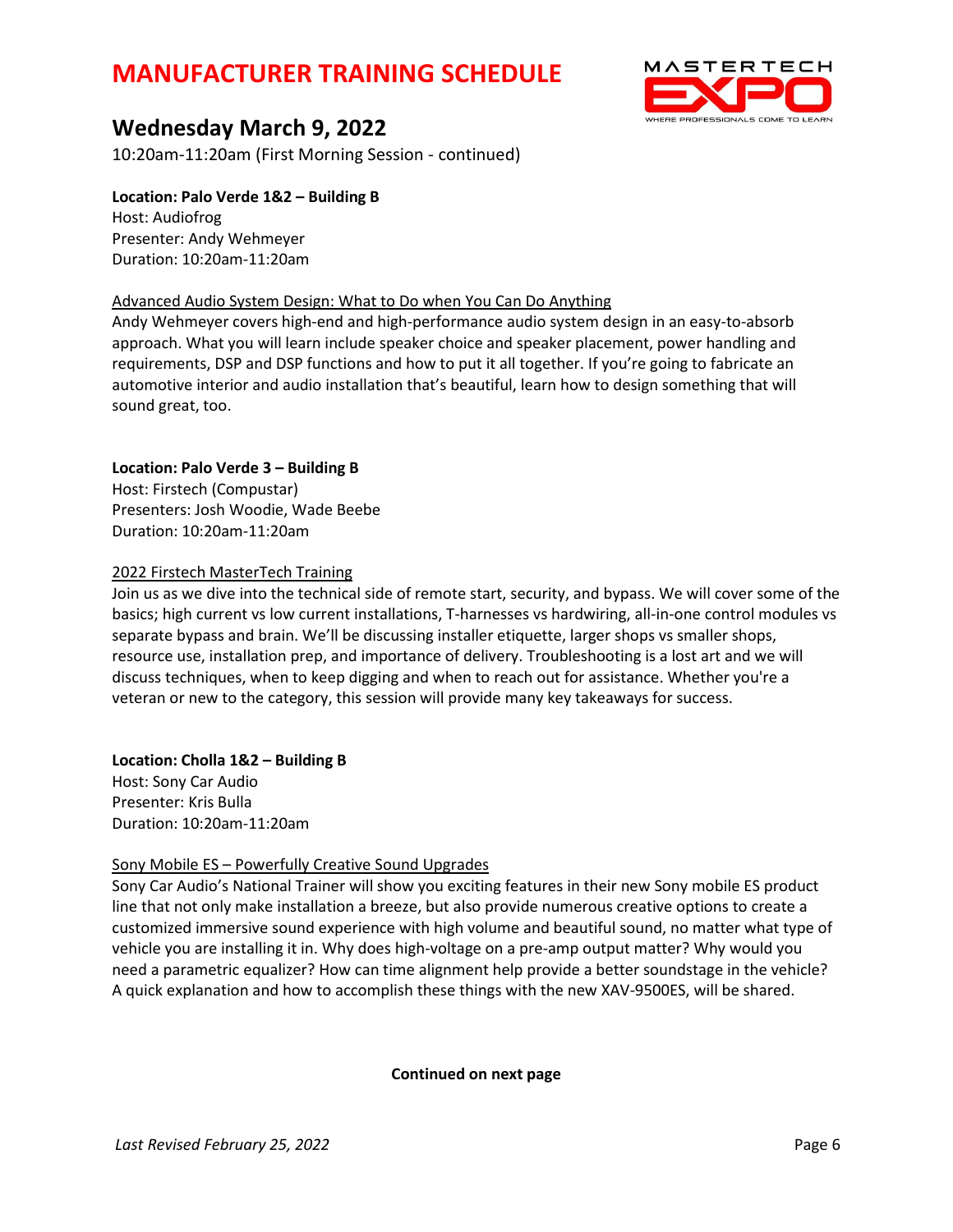

# **Wednesday March 9, 2022**

10:20am-11:20am (First Morning Session - continued)

## **Location: Palo Verde 1&2 – Building B**

Host: Audiofrog Presenter: Andy Wehmeyer Duration: 10:20am-11:20am

### Advanced Audio System Design: What to Do when You Can Do Anything

Andy Wehmeyer covers high-end and high-performance audio system design in an easy-to-absorb approach. What you will learn include speaker choice and speaker placement, power handling and requirements, DSP and DSP functions and how to put it all together. If you're going to fabricate an automotive interior and audio installation that's beautiful, learn how to design something that will sound great, too.

### **Location: Palo Verde 3 – Building B**

Host: Firstech (Compustar) Presenters: Josh Woodie, Wade Beebe Duration: 10:20am-11:20am

### 2022 Firstech MasterTech Training

Join us as we dive into the technical side of remote start, security, and bypass. We will cover some of the basics; high current vs low current installations, T-harnesses vs hardwiring, all-in-one control modules vs separate bypass and brain. We'll be discussing installer etiquette, larger shops vs smaller shops, resource use, installation prep, and importance of delivery. Troubleshooting is a lost art and we will discuss techniques, when to keep digging and when to reach out for assistance. Whether you're a veteran or new to the category, this session will provide many key takeaways for success.

### **Location: Cholla 1&2 – Building B**

Host: Sony Car Audio Presenter: Kris Bulla Duration: 10:20am-11:20am

### Sony Mobile ES – Powerfully Creative Sound Upgrades

Sony Car Audio's National Trainer will show you exciting features in their new Sony mobile ES product line that not only make installation a breeze, but also provide numerous creative options to create a customized immersive sound experience with high volume and beautiful sound, no matter what type of vehicle you are installing it in. Why does high-voltage on a pre-amp output matter? Why would you need a parametric equalizer? How can time alignment help provide a better soundstage in the vehicle? A quick explanation and how to accomplish these things with the new XAV-9500ES, will be shared.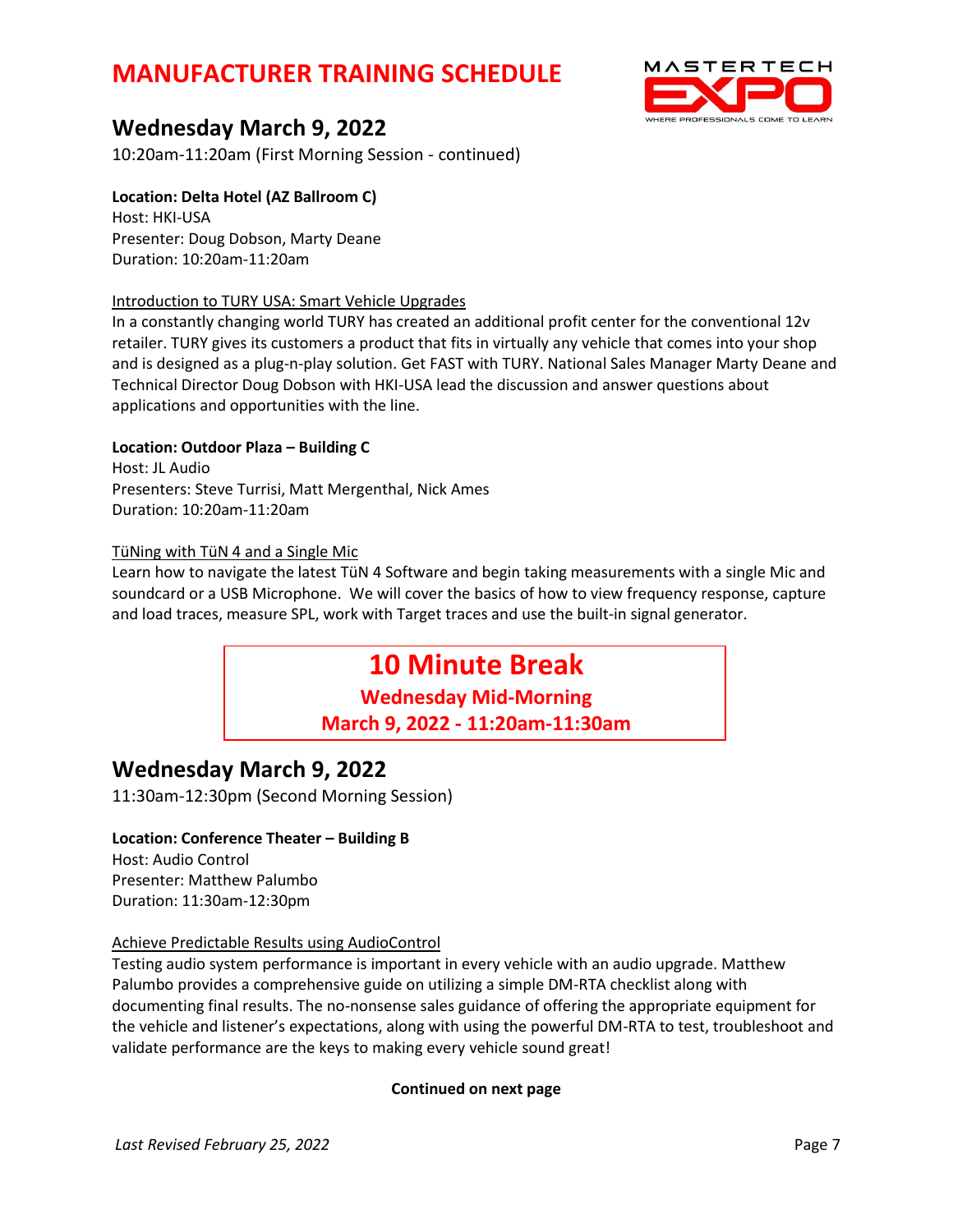# **Wednesday March 9, 2022**

10:20am-11:20am (First Morning Session - continued)

## **Location: Delta Hotel (AZ Ballroom C)**

Host: HKI-USA Presenter: Doug Dobson, Marty Deane Duration: 10:20am-11:20am

### Introduction to TURY USA: Smart Vehicle Upgrades

In a constantly changing world TURY has created an additional profit center for the conventional 12v retailer. TURY gives its customers a product that fits in virtually any vehicle that comes into your shop and is designed as a plug-n-play solution. Get FAST with TURY. National Sales Manager Marty Deane and Technical Director Doug Dobson with HKI-USA lead the discussion and answer questions about applications and opportunities with the line.

### **Location: Outdoor Plaza – Building C**

Host: JL Audio Presenters: Steve Turrisi, Matt Mergenthal, Nick Ames Duration: 10:20am-11:20am

### TüNing with TüN 4 and a Single Mic

Learn how to navigate the latest TüN 4 Software and begin taking measurements with a single Mic and soundcard or a USB Microphone. We will cover the basics of how to view frequency response, capture and load traces, measure SPL, work with Target traces and use the built-in signal generator.

# **10 Minute Break**

**Wednesday Mid-Morning March 9, 2022 - 11:20am-11:30am**

# **Wednesday March 9, 2022**

11:30am-12:30pm (Second Morning Session)

### **Location: Conference Theater – Building B**

Host: Audio Control Presenter: Matthew Palumbo Duration: 11:30am-12:30pm

### Achieve Predictable Results using AudioControl

Testing audio system performance is important in every vehicle with an audio upgrade. Matthew Palumbo provides a comprehensive guide on utilizing a simple DM-RTA checklist along with documenting final results. The no-nonsense sales guidance of offering the appropriate equipment for the vehicle and listener's expectations, along with using the powerful DM-RTA to test, troubleshoot and validate performance are the keys to making every vehicle sound great!



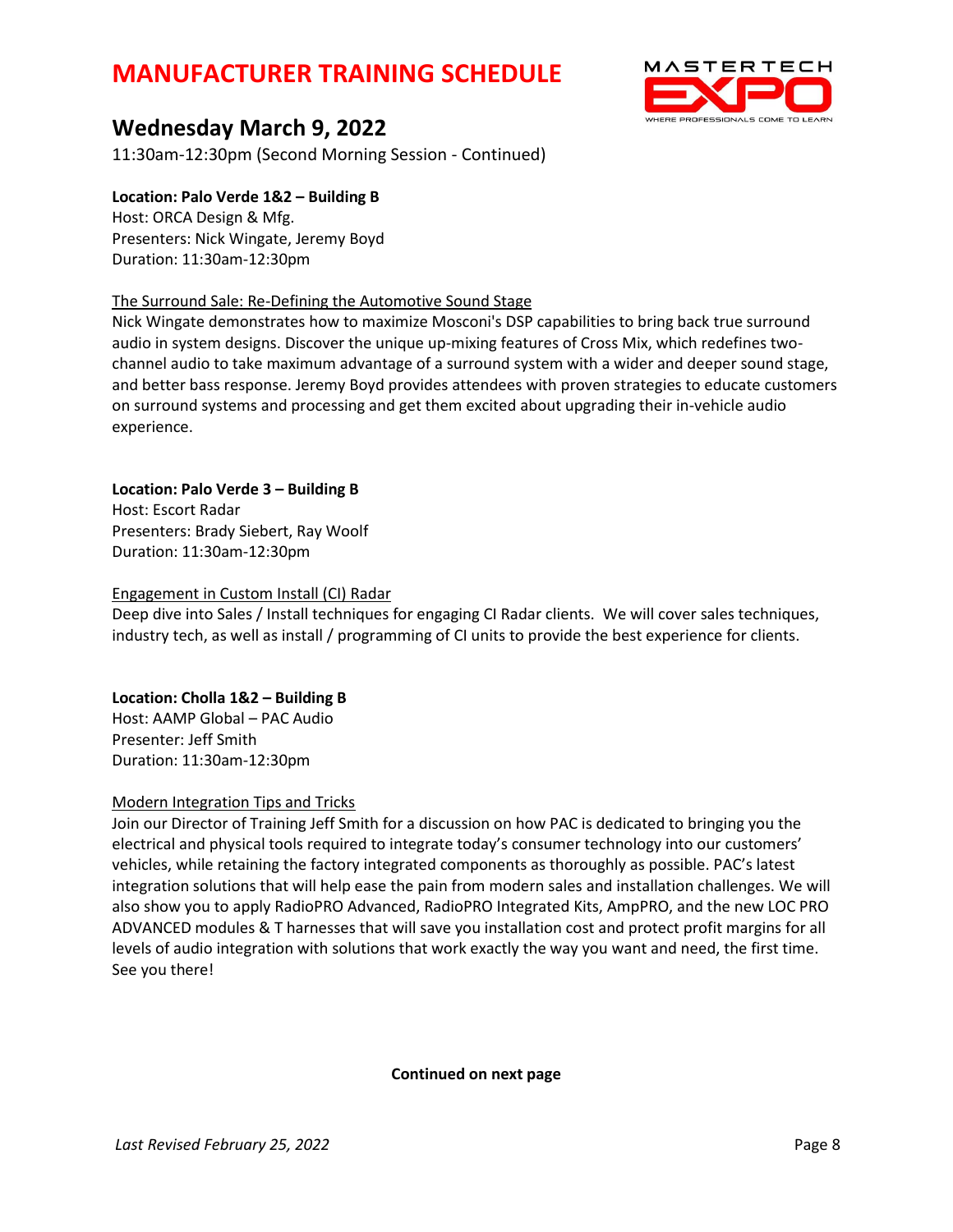

# **Wednesday March 9, 2022**

11:30am-12:30pm (Second Morning Session - Continued)

## **Location: Palo Verde 1&2 – Building B**

Host: ORCA Design & Mfg. Presenters: Nick Wingate, Jeremy Boyd Duration: 11:30am-12:30pm

### The Surround Sale: Re-Defining the Automotive Sound Stage

Nick Wingate demonstrates how to maximize Mosconi's DSP capabilities to bring back true surround audio in system designs. Discover the unique up-mixing features of Cross Mix, which redefines twochannel audio to take maximum advantage of a surround system with a wider and deeper sound stage, and better bass response. Jeremy Boyd provides attendees with proven strategies to educate customers on surround systems and processing and get them excited about upgrading their in-vehicle audio experience.

## **Location: Palo Verde 3 – Building B**

Host: Escort Radar Presenters: Brady Siebert, Ray Woolf Duration: 11:30am-12:30pm

### Engagement in Custom Install (CI) Radar

Deep dive into Sales / Install techniques for engaging CI Radar clients. We will cover sales techniques, industry tech, as well as install / programming of CI units to provide the best experience for clients.

## **Location: Cholla 1&2 – Building B**

Host: AAMP Global – PAC Audio Presenter: Jeff Smith Duration: 11:30am-12:30pm

### Modern Integration Tips and Tricks

Join our Director of Training Jeff Smith for a discussion on how PAC is dedicated to bringing you the electrical and physical tools required to integrate today's consumer technology into our customers' vehicles, while retaining the factory integrated components as thoroughly as possible. PAC's latest integration solutions that will help ease the pain from modern sales and installation challenges. We will also show you to apply RadioPRO Advanced, RadioPRO Integrated Kits, AmpPRO, and the new LOC PRO ADVANCED modules & T harnesses that will save you installation cost and protect profit margins for all levels of audio integration with solutions that work exactly the way you want and need, the first time. See you there!